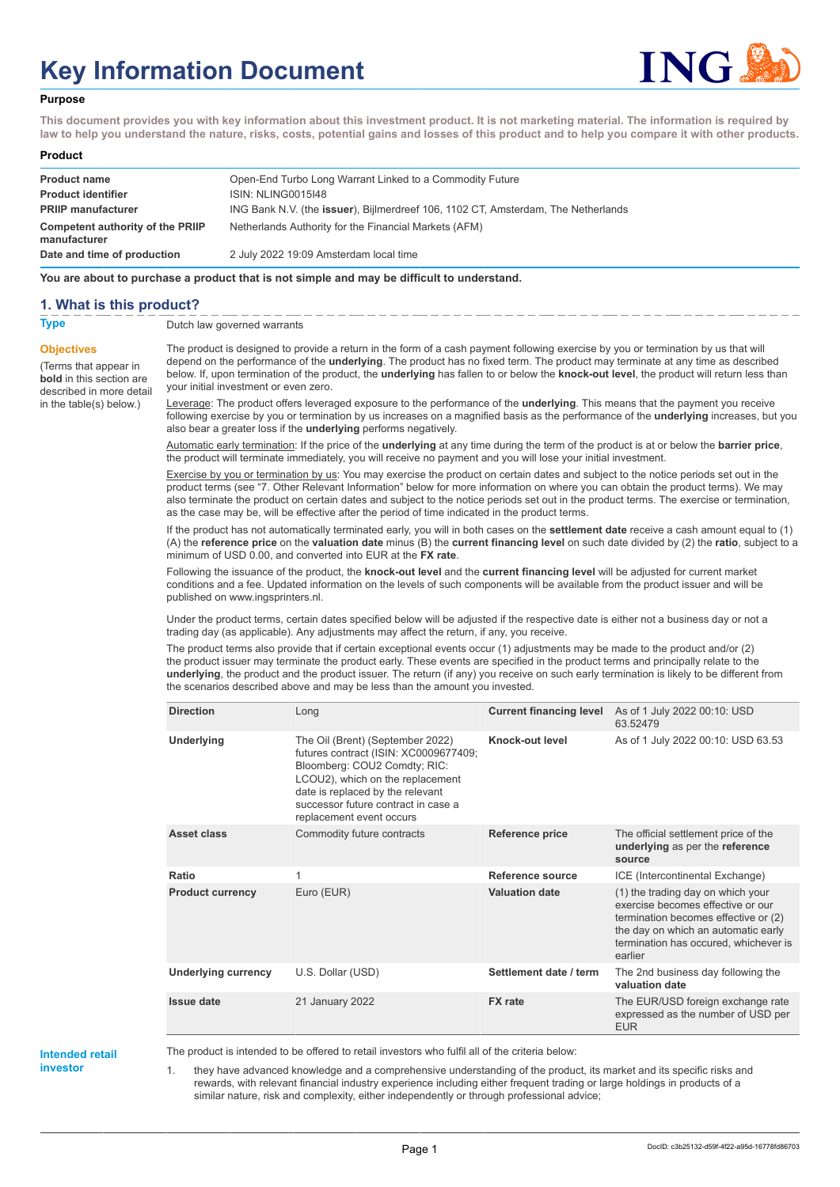# **Key Information Document**



#### **Purpose**

**This document provides you with key information about this investment product. It is not marketing material. The information is required by law to help you understand the nature, risks, costs, potential gains and losses of this product and to help you compare it with other products.**

#### **Product**

| <b>Product name</b>                                     | Open-End Turbo Long Warrant Linked to a Commodity Future                          |
|---------------------------------------------------------|-----------------------------------------------------------------------------------|
| <b>Product identifier</b>                               | ISIN: NLING0015I48                                                                |
| <b>PRIIP manufacturer</b>                               | ING Bank N.V. (the issuer), Bijlmerdreef 106, 1102 CT, Amsterdam, The Netherlands |
| <b>Competent authority of the PRIIP</b><br>manufacturer | Netherlands Authority for the Financial Markets (AFM)                             |
| Date and time of production                             | 2 July 2022 19:09 Amsterdam local time                                            |

**You are about to purchase a product that is not simple and may be difficult to understand.**

#### **1. What is this product?**

**Objectives**

(Terms that appear in **bold** in this section are

in the table(s) below.)

**Type** Dutch law governed warrants

described in more detail The product is designed to provide a return in the form of a cash payment following exercise by you or termination by us that will depend on the performance of the **underlying**. The product has no fixed term. The product may terminate at any time as described below. If, upon termination of the product, the **underlying** has fallen to or below the **knock-out level**, the product will return less than your initial investment or even zero.

> Leverage: The product offers leveraged exposure to the performance of the **underlying**. This means that the payment you receive following exercise by you or termination by us increases on a magnified basis as the performance of the **underlying** increases, but you also bear a greater loss if the **underlying** performs negatively.

Automatic early termination: If the price of the **underlying** at any time during the term of the product is at or below the **barrier price**, the product will terminate immediately, you will receive no payment and you will lose your initial investment.

Exercise by you or termination by us: You may exercise the product on certain dates and subject to the notice periods set out in the product terms (see "7. Other Relevant Information" below for more information on where you can obtain the product terms). We may also terminate the product on certain dates and subject to the notice periods set out in the product terms. The exercise or termination, as the case may be, will be effective after the period of time indicated in the product terms.

If the product has not automatically terminated early, you will in both cases on the **settlement date** receive a cash amount equal to (1) (A) the **reference price** on the **valuation date** minus (B) the **current financing level** on such date divided by (2) the **ratio**, subject to a minimum of USD 0.00, and converted into EUR at the **FX rate**.

Following the issuance of the product, the **knock-out level** and the **current financing level** will be adjusted for current market conditions and a fee. Updated information on the levels of such components will be available from the product issuer and will be published on www.ingsprinters.nl.

Under the product terms, certain dates specified below will be adjusted if the respective date is either not a business day or not a trading day (as applicable). Any adjustments may affect the return, if any, you receive.

The product terms also provide that if certain exceptional events occur (1) adjustments may be made to the product and/or (2) the product issuer may terminate the product early. These events are specified in the product terms and principally relate to the **underlying**, the product and the product issuer. The return (if any) you receive on such early termination is likely to be different from the scenarios described above and may be less than the amount you invested.

| <b>Direction</b>           | Long                                                                                                                                                                                                                                                 | <b>Current financing level</b> | As of 1 July 2022 00:10: USD<br>63.52479                                                                                                                                                                  |
|----------------------------|------------------------------------------------------------------------------------------------------------------------------------------------------------------------------------------------------------------------------------------------------|--------------------------------|-----------------------------------------------------------------------------------------------------------------------------------------------------------------------------------------------------------|
| Underlying                 | The Oil (Brent) (September 2022)<br>futures contract (ISIN: XC0009677409;<br>Bloomberg: COU2 Comdty; RIC:<br>LCOU2), which on the replacement<br>date is replaced by the relevant<br>successor future contract in case a<br>replacement event occurs | Knock-out level                | As of 1 July 2022 00:10: USD 63.53                                                                                                                                                                        |
| Asset class                | Commodity future contracts                                                                                                                                                                                                                           | Reference price                | The official settlement price of the<br>underlying as per the reference<br>source                                                                                                                         |
| Ratio                      | 1                                                                                                                                                                                                                                                    | Reference source               | ICE (Intercontinental Exchange)                                                                                                                                                                           |
| <b>Product currency</b>    | Euro (EUR)                                                                                                                                                                                                                                           | <b>Valuation date</b>          | (1) the trading day on which your<br>exercise becomes effective or our<br>termination becomes effective or (2)<br>the day on which an automatic early<br>termination has occured, whichever is<br>earlier |
| <b>Underlying currency</b> | U.S. Dollar (USD)                                                                                                                                                                                                                                    | Settlement date / term         | The 2nd business day following the<br>valuation date                                                                                                                                                      |
| <b>Issue date</b>          | 21 January 2022                                                                                                                                                                                                                                      | <b>FX</b> rate                 | The EUR/USD foreign exchange rate<br>expressed as the number of USD per<br><b>EUR</b>                                                                                                                     |

#### **Intended retail investor**

The product is intended to be offered to retail investors who fulfil all of the criteria below:

1. they have advanced knowledge and a comprehensive understanding of the product, its market and its specific risks and rewards, with relevant financial industry experience including either frequent trading or large holdings in products of a similar nature, risk and complexity, either independently or through professional advice;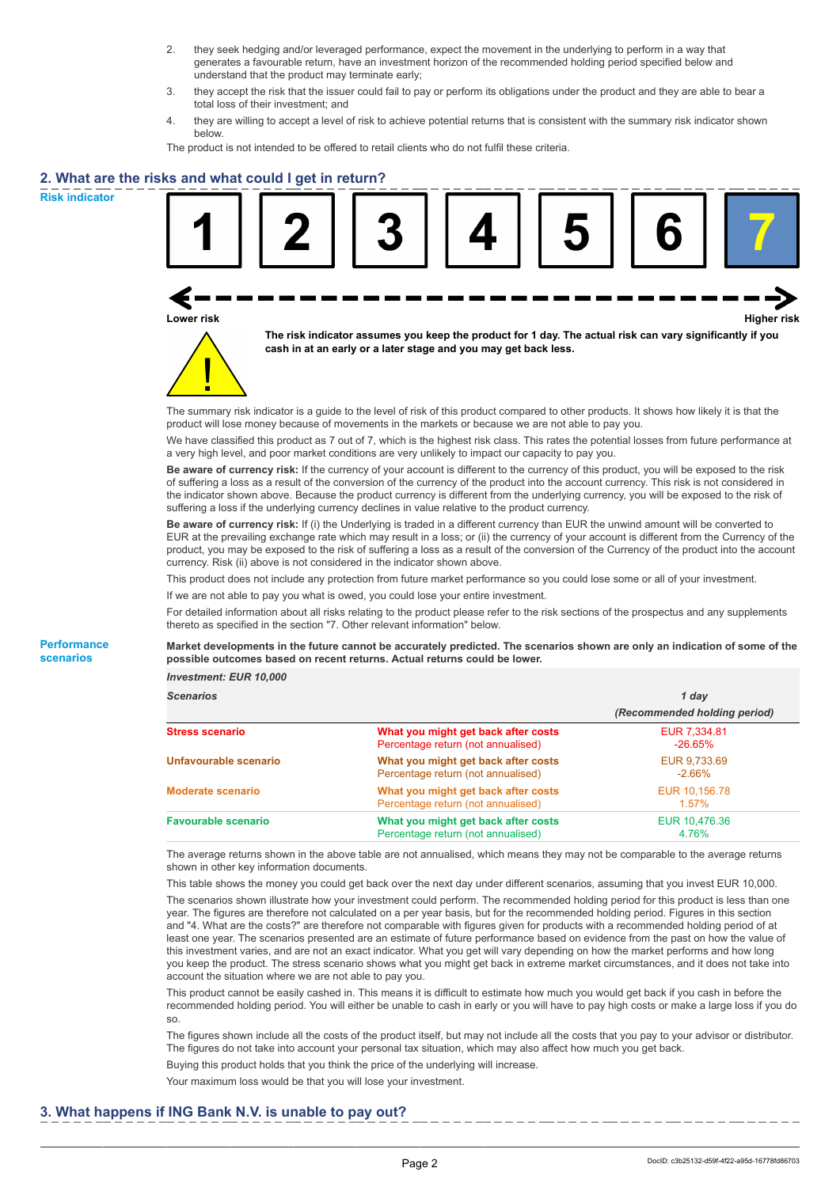- 2. they seek hedging and/or leveraged performance, expect the movement in the underlying to perform in a way that generates a favourable return, have an investment horizon of the recommended holding period specified below and understand that the product may terminate early;
- 3. they accept the risk that the issuer could fail to pay or perform its obligations under the product and they are able to bear a total loss of their investment; and
- 4. they are willing to accept a level of risk to achieve potential returns that is consistent with the summary risk indicator shown below.

The product is not intended to be offered to retail clients who do not fulfil these criteria.

## **2. What are the risks and what could I get in return?**

**Risk indicator**

**Performance scenarios**





**The risk indicator assumes you keep the product for 1 day. The actual risk can vary significantly if you cash in at an early or a later stage and you may get back less.**

The summary risk indicator is a guide to the level of risk of this product compared to other products. It shows how likely it is that the product will lose money because of movements in the markets or because we are not able to pay you.

We have classified this product as 7 out of 7, which is the highest risk class. This rates the potential losses from future performance at a very high level, and poor market conditions are very unlikely to impact our capacity to pay you.

**Be aware of currency risk:** If the currency of your account is different to the currency of this product, you will be exposed to the risk of suffering a loss as a result of the conversion of the currency of the product into the account currency. This risk is not considered in the indicator shown above. Because the product currency is different from the underlying currency, you will be exposed to the risk of suffering a loss if the underlying currency declines in value relative to the product currency.

**Be aware of currency risk:** If (i) the Underlying is traded in a different currency than EUR the unwind amount will be converted to EUR at the prevailing exchange rate which may result in a loss; or (ii) the currency of your account is different from the Currency of the product, you may be exposed to the risk of suffering a loss as a result of the conversion of the Currency of the product into the account currency. Risk (ii) above is not considered in the indicator shown above.

This product does not include any protection from future market performance so you could lose some or all of your investment.

If we are not able to pay you what is owed, you could lose your entire investment.

For detailed information about all risks relating to the product please refer to the risk sections of the prospectus and any supplements thereto as specified in the section "7. Other relevant information" below.

**Market developments in the future cannot be accurately predicted. The scenarios shown are only an indication of some of the possible outcomes based on recent returns. Actual returns could be lower.**

*Investment: EUR 10,000*

| <b>Scenarios</b>           |                                                                           | 1 day<br>(Recommended holding period) |  |
|----------------------------|---------------------------------------------------------------------------|---------------------------------------|--|
|                            |                                                                           |                                       |  |
| Stress scenario            | What you might get back after costs<br>Percentage return (not annualised) | EUR 7,334.81<br>$-26.65\%$            |  |
| Unfavourable scenario      | What you might get back after costs<br>Percentage return (not annualised) | EUR 9.733.69<br>$-2.66\%$             |  |
| <b>Moderate scenario</b>   | What you might get back after costs<br>Percentage return (not annualised) | EUR 10.156.78<br>$1.57\%$             |  |
| <b>Favourable scenario</b> | What you might get back after costs<br>Percentage return (not annualised) | EUR 10,476.36<br>4.76%                |  |

The average returns shown in the above table are not annualised, which means they may not be comparable to the average returns shown in other key information documents.

This table shows the money you could get back over the next day under different scenarios, assuming that you invest EUR 10,000. The scenarios shown illustrate how your investment could perform. The recommended holding period for this product is less than one year. The figures are therefore not calculated on a per year basis, but for the recommended holding period. Figures in this section and "4. What are the costs?" are therefore not comparable with figures given for products with a recommended holding period of at least one year. The scenarios presented are an estimate of future performance based on evidence from the past on how the value of this investment varies, and are not an exact indicator. What you get will vary depending on how the market performs and how long you keep the product. The stress scenario shows what you might get back in extreme market circumstances, and it does not take into account the situation where we are not able to pay you.

This product cannot be easily cashed in. This means it is difficult to estimate how much you would get back if you cash in before the recommended holding period. You will either be unable to cash in early or you will have to pay high costs or make a large loss if you do so.

The figures shown include all the costs of the product itself, but may not include all the costs that you pay to your advisor or distributor. The figures do not take into account your personal tax situation, which may also affect how much you get back.

Buying this product holds that you think the price of the underlying will increase.

Your maximum loss would be that you will lose your investment.

### **3. What happens if ING Bank N.V. is unable to pay out?**